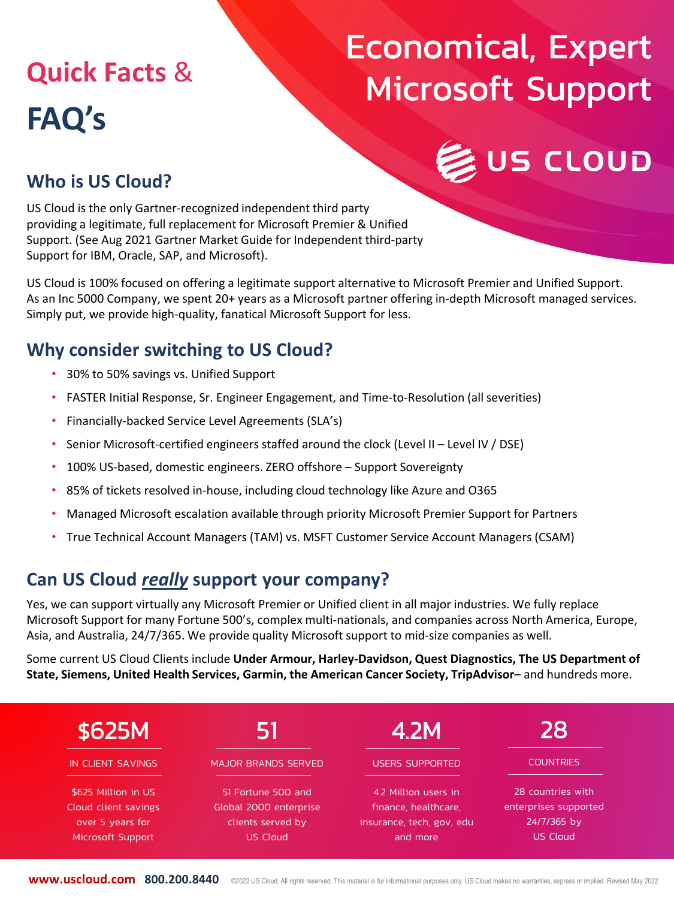# **Quick Facts** & **FAQ's**

# Economical, Expert Microsoft Support

US CLOUD

### **Who is US Cloud?**

US Cloud is the only Gartner-recognized independent third party providing a legitimate, full replacement for Microsoft Premier & Unified Support. (See Aug 2021 Gartner Market Guide for Independent third-party Support for IBM, Oracle, SAP, and Microsoft).

US Cloud is 100% focused on offering a legitimate support alternative to Microsoft Premier and Unified Support. As an Inc 5000 Company, we spent 20+ years as a Microsoft partner offering in-depth Microsoft managed services. Simply put, we provide high-quality, fanatical Microsoft Support for less.

### **Why consider switching to US Cloud?**

- 30% to 50% savings vs. Unified Support
- FASTER Initial Response, Sr. Engineer Engagement, and Time-to-Resolution (all severities)
- Financially-backed Service Level Agreements (SLA's)
- Senior Microsoft-certified engineers staffed around the clock (Level II Level IV / DSE)
- 100% US-based, domestic engineers. ZERO offshore Support Sovereignty
- 85% of tickets resolved in-house, including cloud technology like Azure and O365
- Managed Microsoft escalation available through priority Microsoft Premier Support for Partners
- True Technical Account Managers (TAM) vs. MSFT Customer Service Account Managers (CSAM)

### **Can US Cloud** *really* **support your company?**

Yes, we can support virtually any Microsoft Premier or Unified client in all major industries. We fully replace Microsoft Support for many Fortune 500's, complex multi-nationals, and companies across North America, Europe, Asia, and Australia, 24/7/365. We provide quality Microsoft support to mid-size companies as well.

Some current US Cloud Clients include **Under Armour, Harley-Davidson, Quest Diagnostics, The US Department of State, Siemens, United Health Services, Garmin, the American Cancer Society, TripAdvisor**– and hundreds more.



**www.uscloud.com 800.200.8440** ©2022 US Cloud. All rights reserved. This material is for informational purposes only. US Cloud makes no warranties, express or implied. Revised May 2022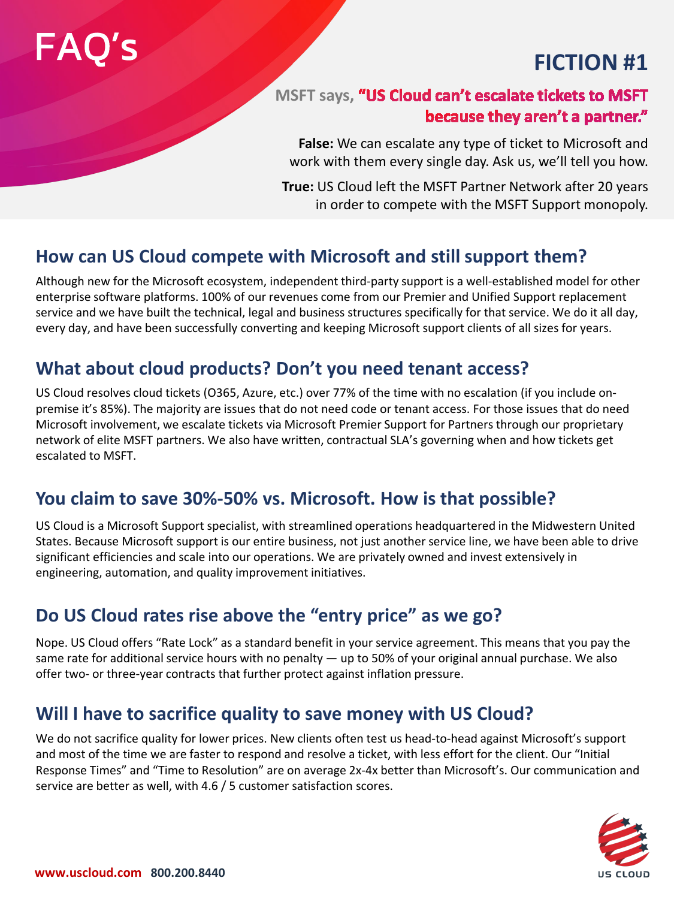# FAQ's

## **FICTION #1**

### **MSFT says, "US Cloud can't escalate tickets to MSFT** because they aren't a partner."

**False:** We can escalate any type of ticket to Microsoft and work with them every single day. Ask us, we'll tell you how.

**True:** US Cloud left the MSFT Partner Network after 20 years in order to compete with the MSFT Support monopoly.

### **How can US Cloud compete with Microsoft and still support them?**

Although new for the Microsoft ecosystem, independent third-party support is a well-established model for other enterprise software platforms. 100% of our revenues come from our Premier and Unified Support replacement service and we have built the technical, legal and business structures specifically for that service. We do it all day, every day, and have been successfully converting and keeping Microsoft support clients of all sizes for years.

### **What about cloud products? Don't you need tenant access?**

US Cloud resolves cloud tickets (O365, Azure, etc.) over 77% of the time with no escalation (if you include onpremise it's 85%). The majority are issues that do not need code or tenant access. For those issues that do need Microsoft involvement, we escalate tickets via Microsoft Premier Support for Partners through our proprietary network of elite MSFT partners. We also have written, contractual SLA's governing when and how tickets get escalated to MSFT.

### **You claim to save 30%-50% vs. Microsoft. How is that possible?**

US Cloud is a Microsoft Support specialist, with streamlined operations headquartered in the Midwestern United States. Because Microsoft support is our entire business, not just another service line, we have been able to drive significant efficiencies and scale into our operations. We are privately owned and invest extensively in engineering, automation, and quality improvement initiatives.

### **Do US Cloud rates rise above the "entry price" as we go?**

Nope. US Cloud offers "Rate Lock" as a standard benefit in your service agreement. This means that you pay the same rate for additional service hours with no penalty — up to 50% of your original annual purchase. We also offer two- or three-year contracts that further protect against inflation pressure.

### **Will I have to sacrifice quality to save money with US Cloud?**

We do not sacrifice quality for lower prices. New clients often test us head-to-head against Microsoft's support and most of the time we are faster to respond and resolve a ticket, with less effort for the client. Our "Initial Response Times" and "Time to Resolution" are on average 2x-4x better than Microsoft's. Our communication and service are better as well, with 4.6 / 5 customer satisfaction scores.

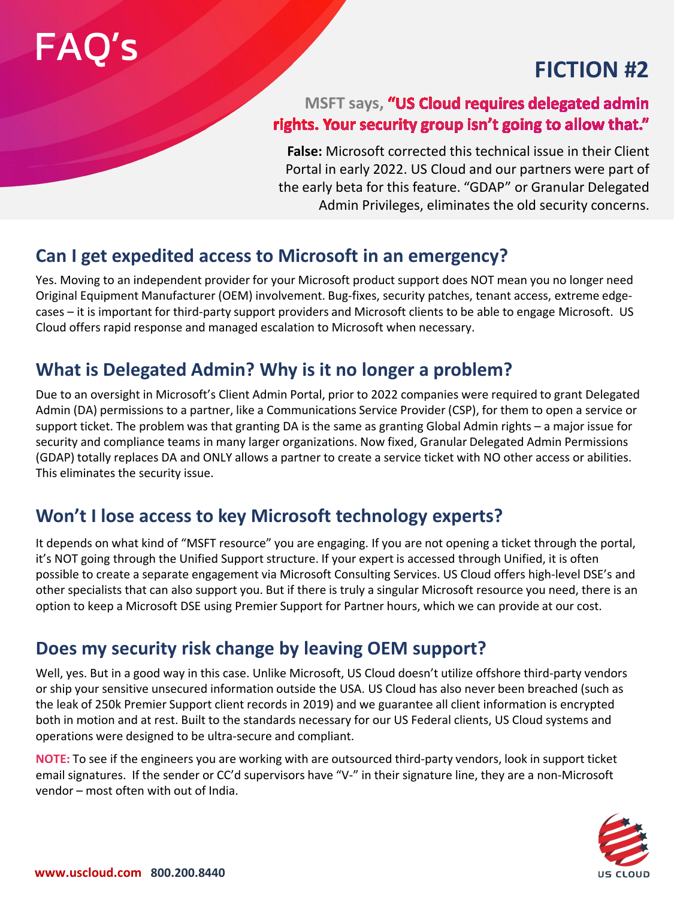# FAQ's FICTION #2

### **MSFT says, "US Cloud requires delegated admin** rights. Your security group isn't going to allow that."

**False:** Microsoft corrected this technical issue in their Client Portal in early 2022. US Cloud and our partners were part of the early beta for this feature. "GDAP" or Granular Delegated Admin Privileges, eliminates the old security concerns.

### **Can I get expedited access to Microsoft in an emergency?**

Yes. Moving to an independent provider for your Microsoft product support does NOT mean you no longer need Original Equipment Manufacturer (OEM) involvement. Bug-fixes, security patches, tenant access, extreme edgecases – it is important for third-party support providers and Microsoft clients to be able to engage Microsoft. US Cloud offers rapid response and managed escalation to Microsoft when necessary.

### **What is Delegated Admin? Why is it no longer a problem?**

Due to an oversight in Microsoft's Client Admin Portal, prior to 2022 companies were required to grant Delegated Admin (DA) permissions to a partner, like a Communications Service Provider (CSP), for them to open a service or support ticket. The problem was that granting DA is the same as granting Global Admin rights – a major issue for security and compliance teams in many larger organizations. Now fixed, Granular Delegated Admin Permissions (GDAP) totally replaces DA and ONLY allows a partner to create a service ticket with NO other access or abilities. This eliminates the security issue.

### **Won't I lose access to key Microsoft technology experts?**

It depends on what kind of "MSFT resource" you are engaging. If you are not opening a ticket through the portal, it's NOT going through the Unified Support structure. If your expert is accessed through Unified, it is often possible to create a separate engagement via Microsoft Consulting Services. US Cloud offers high-level DSE's and other specialists that can also support you. But if there is truly a singular Microsoft resource you need, there is an option to keep a Microsoft DSE using Premier Support for Partner hours, which we can provide at our cost.

### **Does my security risk change by leaving OEM support?**

Well, yes. But in a good way in this case. Unlike Microsoft, US Cloud doesn't utilize offshore third-party vendors or ship your sensitive unsecured information outside the USA. US Cloud has also never been breached (such as the leak of 250k Premier Support client records in 2019) and we guarantee all client information is encrypted both in motion and at rest. Built to the standards necessary for our US Federal clients, US Cloud systems and operations were designed to be ultra-secure and compliant.

**NOTE:** To see if the engineers you are working with are outsourced third-party vendors, look in support ticket email signatures. If the sender or CC'd supervisors have "V-" in their signature line, they are a non-Microsoft vendor – most often with out of India.

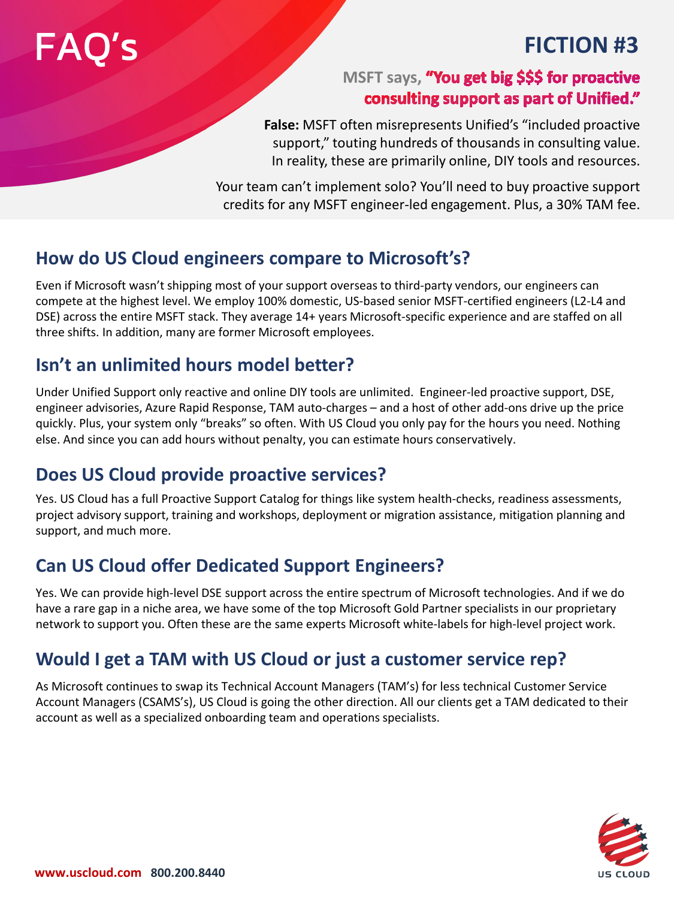# **FAO's** FICTION #3

### **MSFT says, "You get big \$\$\$ for proactive** consulting support as part of Unified."

**False:** MSFT often misrepresents Unified's "included proactive support," touting hundreds of thousands in consulting value. In reality, these are primarily online, DIY tools and resources.

Your team can't implement solo? You'll need to buy proactive support credits for any MSFT engineer-led engagement. Plus, a 30% TAM fee.

### **How do US Cloud engineers compare to Microsoft's?**

Even if Microsoft wasn't shipping most of your support overseas to third-party vendors, our engineers can compete at the highest level. We employ 100% domestic, US-based senior MSFT-certified engineers (L2-L4 and DSE) across the entire MSFT stack. They average 14+ years Microsoft-specific experience and are staffed on all three shifts. In addition, many are former Microsoft employees.

### **Isn't an unlimited hours model better?**

Under Unified Support only reactive and online DIY tools are unlimited. Engineer-led proactive support, DSE, engineer advisories, Azure Rapid Response, TAM auto-charges – and a host of other add-ons drive up the price quickly. Plus, your system only "breaks" so often. With US Cloud you only pay for the hours you need. Nothing else. And since you can add hours without penalty, you can estimate hours conservatively.

### **Does US Cloud provide proactive services?**

Yes. US Cloud has a full Proactive Support Catalog for things like system health-checks, readiness assessments, project advisory support, training and workshops, deployment or migration assistance, mitigation planning and support, and much more.

### **Can US Cloud offer Dedicated Support Engineers?**

Yes. We can provide high-level DSE support across the entire spectrum of Microsoft technologies. And if we do have a rare gap in a niche area, we have some of the top Microsoft Gold Partner specialists in our proprietary network to support you. Often these are the same experts Microsoft white-labels for high-level project work.

### **Would I get a TAM with US Cloud or just a customer service rep?**

As Microsoft continues to swap its Technical Account Managers (TAM's) for less technical Customer Service Account Managers (CSAMS's), US Cloud is going the other direction. All our clients get a TAM dedicated to their account as well as a specialized onboarding team and operations specialists.